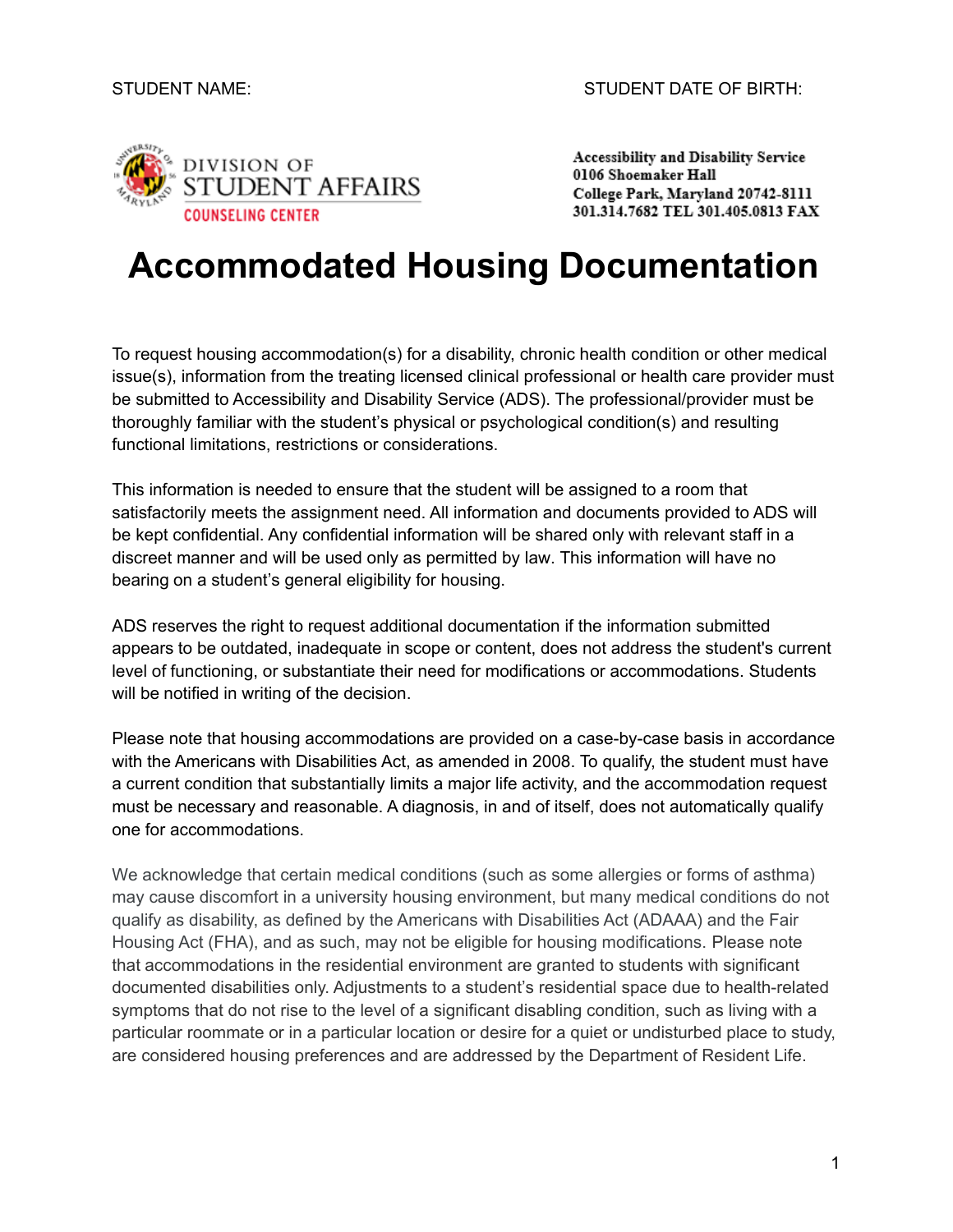

Accessibility and Disability Service 0106 Shoemaker Hall College Park, Maryland 20742-8111 301.314.7682 TEL 301.405.0813 FAX

# **Accommodated Housing Documentation**

To request housing accommodation(s) for a disability, chronic health condition or other medical issue(s), information from the treating licensed clinical professional or health care provider must be submitted to Accessibility and Disability Service (ADS). The professional/provider must be thoroughly familiar with the student's physical or psychological condition(s) and resulting functional limitations, restrictions or considerations.

This information is needed to ensure that the student will be assigned to a room that satisfactorily meets the assignment need. All information and documents provided to ADS will be kept confidential. Any confidential information will be shared only with relevant staff in a discreet manner and will be used only as permitted by law. This information will have no bearing on a student's general eligibility for housing.

ADS reserves the right to request additional documentation if the information submitted appears to be outdated, inadequate in scope or content, does not address the student's current level of functioning, or substantiate their need for modifications or accommodations. Students will be notified in writing of the decision.

Please note that housing accommodations are provided on a case-by-case basis in accordance with the Americans with Disabilities Act, as amended in 2008. To qualify, the student must have a current condition that substantially limits a major life activity, and the accommodation request must be necessary and reasonable. A diagnosis, in and of itself, does not automatically qualify one for accommodations.

We acknowledge that certain medical conditions (such as some allergies or forms of asthma) may cause discomfort in a university housing environment, but many medical conditions do not qualify as disability, as defined by the Americans with Disabilities Act (ADAAA) and the Fair Housing Act (FHA), and as such, may not be eligible for housing modifications. Please note that accommodations in the residential environment are granted to students with significant documented disabilities only. Adjustments to a student's residential space due to health-related symptoms that do not rise to the level of a significant disabling condition, such as living with a particular roommate or in a particular location or desire for a quiet or undisturbed place to study, are considered housing preferences and are addressed by the Department of Resident Life.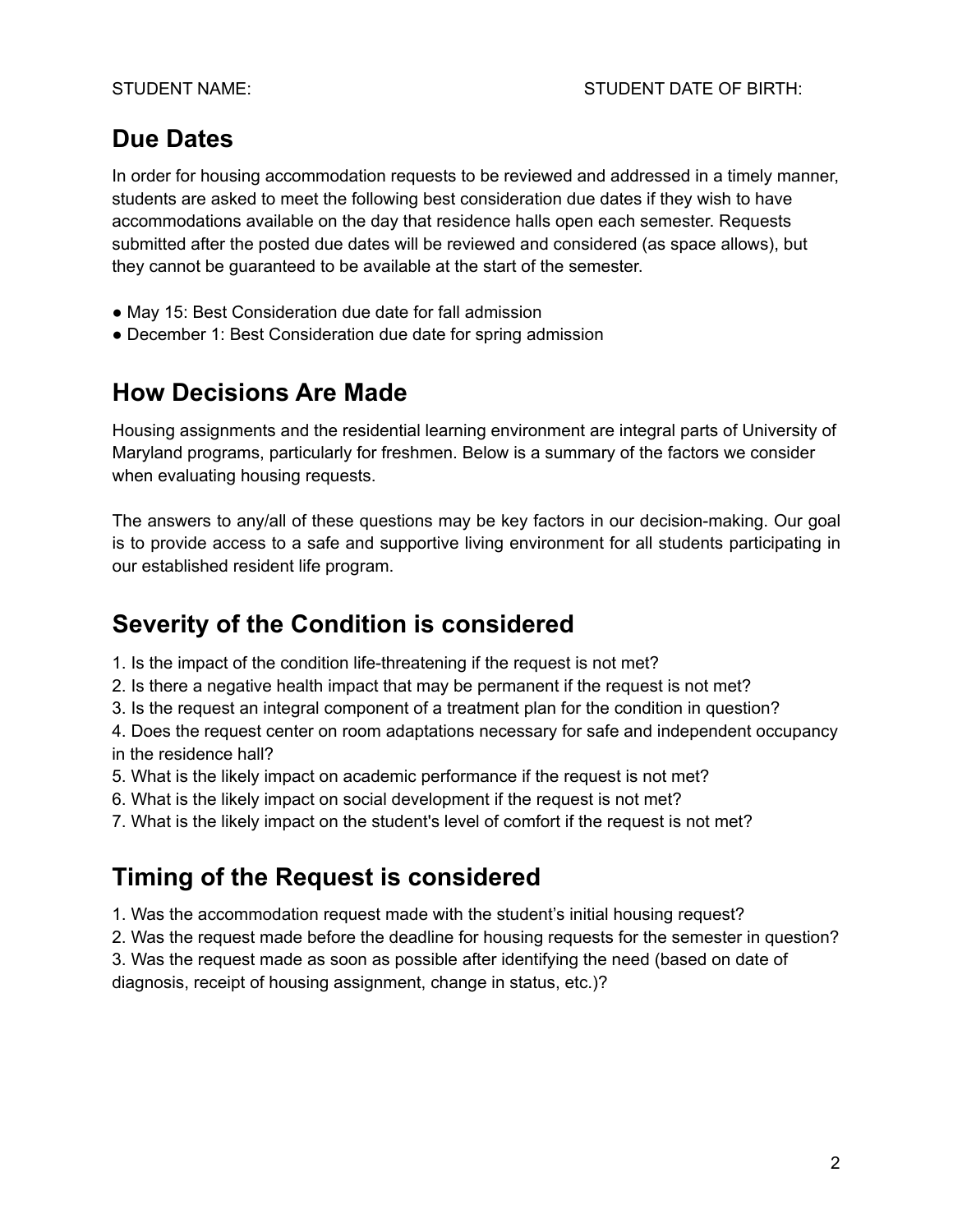# **Due Dates**

In order for housing accommodation requests to be reviewed and addressed in a timely manner, students are asked to meet the following best consideration due dates if they wish to have accommodations available on the day that residence halls open each semester. Requests submitted after the posted due dates will be reviewed and considered (as space allows), but they cannot be guaranteed to be available at the start of the semester.

- May 15: Best Consideration due date for fall admission
- December 1: Best Consideration due date for spring admission

### **How Decisions Are Made**

Housing assignments and the residential learning environment are integral parts of University of Maryland programs, particularly for freshmen. Below is a summary of the factors we consider when evaluating housing requests.

The answers to any/all of these questions may be key factors in our decision-making. Our goal is to provide access to a safe and supportive living environment for all students participating in our established resident life program.

# **Severity of the Condition is considered**

- 1. Is the impact of the condition life-threatening if the request is not met?
- 2. Is there a negative health impact that may be permanent if the request is not met?
- 3. Is the request an integral component of a treatment plan for the condition in question?

4. Does the request center on room adaptations necessary for safe and independent occupancy in the residence hall?

- 5. What is the likely impact on academic performance if the request is not met?
- 6. What is the likely impact on social development if the request is not met?
- 7. What is the likely impact on the student's level of comfort if the request is not met?

# **Timing of the Request is considered**

- 1. Was the accommodation request made with the student's initial housing request?
- 2. Was the request made before the deadline for housing requests for the semester in question?

3. Was the request made as soon as possible after identifying the need (based on date of

diagnosis, receipt of housing assignment, change in status, etc.)?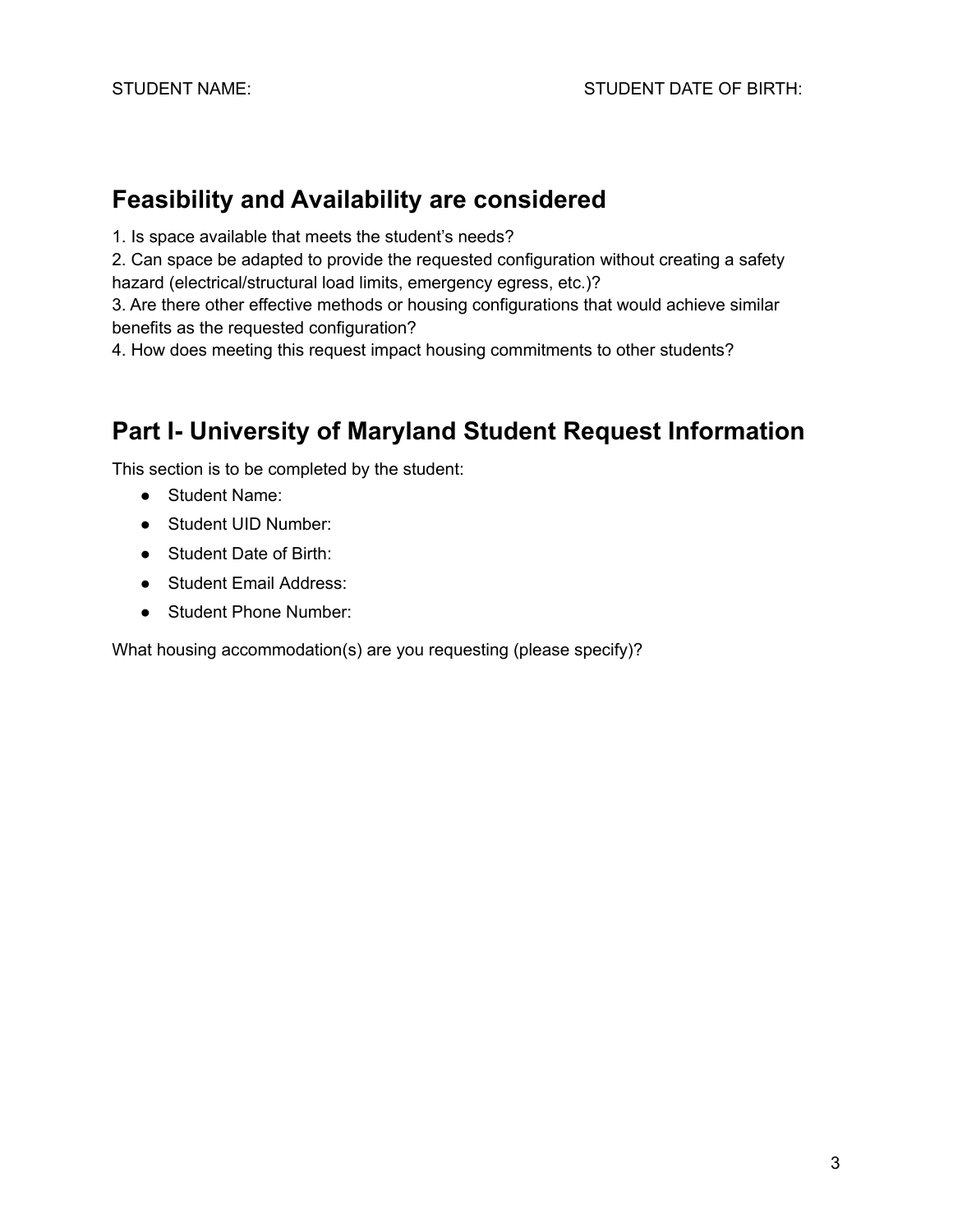#### **Feasibility and Availability are considered**

1. Is space available that meets the student's needs?

2. Can space be adapted to provide the requested configuration without creating a safety hazard (electrical/structural load limits, emergency egress, etc.)?

3. Are there other effective methods or housing configurations that would achieve similar benefits as the requested configuration?

4. How does meeting this request impact housing commitments to other students?

# **Part I- University of Maryland Student Request Information**

This section is to be completed by the student:

- Student Name:
- Student UID Number:
- Student Date of Birth:
- Student Email Address:
- Student Phone Number:

What housing accommodation(s) are you requesting (please specify)?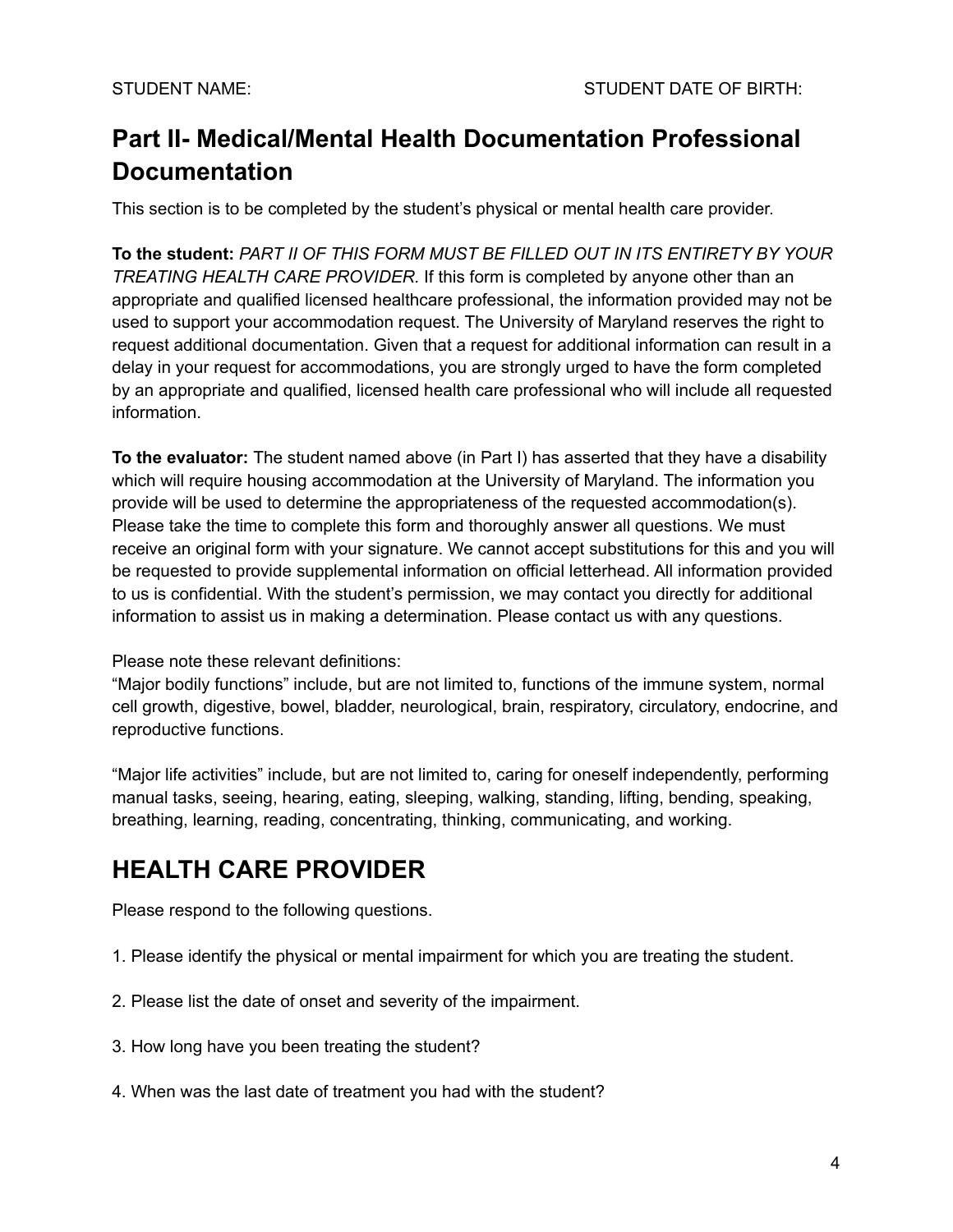# **Part II- Medical/Mental Health Documentation Professional Documentation**

This section is to be completed by the student's physical or mental health care provider.

 **To the student:** *PART II OF THIS FORM MUST BE FILLED OUT IN ITS ENTIRETY BY YOUR TREATING HEALTH CARE PROVIDER.* If this form is completed by anyone other than an appropriate and qualified licensed healthcare professional, the information provided may not be used to support your accommodation request. The University of Maryland reserves the right to request additional documentation. Given that a request for additional information can result in a delay in your request for accommodations, you are strongly urged to have the form completed by an appropriate and qualified, licensed health care professional who will include all requested information.

**To the evaluator:** The student named above (in Part I) has asserted that they have a disability which will require housing accommodation at the University of Maryland. The information you provide will be used to determine the appropriateness of the requested accommodation(s). Please take the time to complete this form and thoroughly answer all questions. We must receive an original form with your signature. We cannot accept substitutions for this and you will be requested to provide supplemental information on official letterhead. All information provided to us is confidential. With the student's permission, we may contact you directly for additional information to assist us in making a determination. Please contact us with any questions.

Please note these relevant definitions:

"Major bodily functions" include, but are not limited to, functions of the immune system, normal cell growth, digestive, bowel, bladder, neurological, brain, respiratory, circulatory, endocrine, and reproductive functions.

"Major life activities" include, but are not limited to, caring for oneself independently, performing manual tasks, seeing, hearing, eating, sleeping, walking, standing, lifting, bending, speaking, breathing, learning, reading, concentrating, thinking, communicating, and working.

# **HEALTH CARE PROVIDER**

Please respond to the following questions.

- 1. Please identify the physical or mental impairment for which you are treating the student.
- 2. Please list the date of onset and severity of the impairment.
- 3. How long have you been treating the student?
- 4. When was the last date of treatment you had with the student?